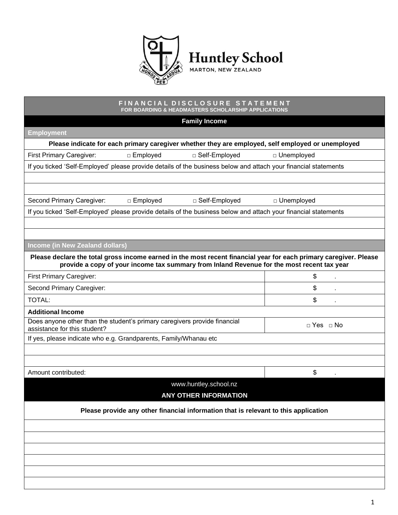

## **F I N A N C I A L D I S C L O S U R E S T A T E M E N T FOR BOARDING & HEADMASTERS SCHOLARSHIP APPLICATIONS**

| <b>Family Income</b>                                                                                                                                                                                            |                      |  |
|-----------------------------------------------------------------------------------------------------------------------------------------------------------------------------------------------------------------|----------------------|--|
| <b>Employment</b>                                                                                                                                                                                               |                      |  |
| Please indicate for each primary caregiver whether they are employed, self employed or unemployed                                                                                                               |                      |  |
| First Primary Caregiver:<br>□ Employed<br>□ Self-Employed                                                                                                                                                       | □ Unemployed         |  |
| If you ticked 'Self-Employed' please provide details of the business below and attach your financial statements                                                                                                 |                      |  |
|                                                                                                                                                                                                                 |                      |  |
|                                                                                                                                                                                                                 |                      |  |
| Second Primary Caregiver:<br>□ Employed<br>□ Self-Employed                                                                                                                                                      | □ Unemployed         |  |
| If you ticked 'Self-Employed' please provide details of the business below and attach your financial statements                                                                                                 |                      |  |
|                                                                                                                                                                                                                 |                      |  |
|                                                                                                                                                                                                                 |                      |  |
| <b>Income (in New Zealand dollars)</b>                                                                                                                                                                          |                      |  |
| Please declare the total gross income earned in the most recent financial year for each primary caregiver. Please<br>provide a copy of your income tax summary from Inland Revenue for the most recent tax year |                      |  |
| <b>First Primary Caregiver:</b>                                                                                                                                                                                 | \$                   |  |
| Second Primary Caregiver:                                                                                                                                                                                       | \$                   |  |
| <b>TOTAL:</b>                                                                                                                                                                                                   | \$                   |  |
| <b>Additional Income</b>                                                                                                                                                                                        |                      |  |
| Does anyone other than the student's primary caregivers provide financial<br>assistance for this student?                                                                                                       | $\Box$ Yes $\Box$ No |  |
| If yes, please indicate who e.g. Grandparents, Family/Whanau etc                                                                                                                                                |                      |  |
|                                                                                                                                                                                                                 |                      |  |
|                                                                                                                                                                                                                 |                      |  |
| Amount contributed:                                                                                                                                                                                             | \$                   |  |
| www.huntley.school.nz<br><b>ANY OTHER INFORMATION</b>                                                                                                                                                           |                      |  |
| Please provide any other financial information that is relevant to this application                                                                                                                             |                      |  |
|                                                                                                                                                                                                                 |                      |  |
|                                                                                                                                                                                                                 |                      |  |
|                                                                                                                                                                                                                 |                      |  |
|                                                                                                                                                                                                                 |                      |  |
|                                                                                                                                                                                                                 |                      |  |
|                                                                                                                                                                                                                 |                      |  |